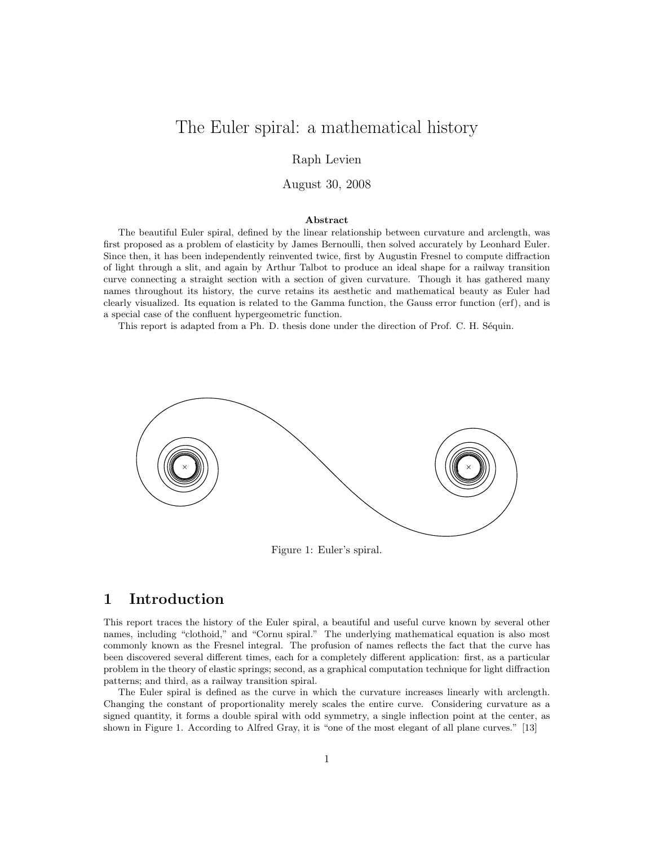# The Euler spiral: a mathematical history

Raph Levien

August 30, 2008

#### Abstract

The beautiful Euler spiral, defined by the linear relationship between curvature and arclength, was first proposed as a problem of elasticity by James Bernoulli, then solved accurately by Leonhard Euler. Since then, it has been independently reinvented twice, first by Augustin Fresnel to compute diffraction of light through a slit, and again by Arthur Talbot to produce an ideal shape for a railway transition curve connecting a straight section with a section of given curvature. Though it has gathered many names throughout its history, the curve retains its aesthetic and mathematical beauty as Euler had clearly visualized. Its equation is related to the Gamma function, the Gauss error function (erf), and is a special case of the confluent hypergeometric function.

This report is adapted from a Ph. D. thesis done under the direction of Prof. C. H. Séquin.



Figure 1: Euler's spiral.

# 1 Introduction

This report traces the history of the Euler spiral, a beautiful and useful curve known by several other names, including "clothoid," and "Cornu spiral." The underlying mathematical equation is also most commonly known as the Fresnel integral. The profusion of names reflects the fact that the curve has been discovered several different times, each for a completely different application: first, as a particular problem in the theory of elastic springs; second, as a graphical computation technique for light diffraction patterns; and third, as a railway transition spiral.

The Euler spiral is defined as the curve in which the curvature increases linearly with arclength. Changing the constant of proportionality merely scales the entire curve. Considering curvature as a signed quantity, it forms a double spiral with odd symmetry, a single inflection point at the center, as shown in Figure 1. According to Alfred Gray, it is "one of the most elegant of all plane curves." [13]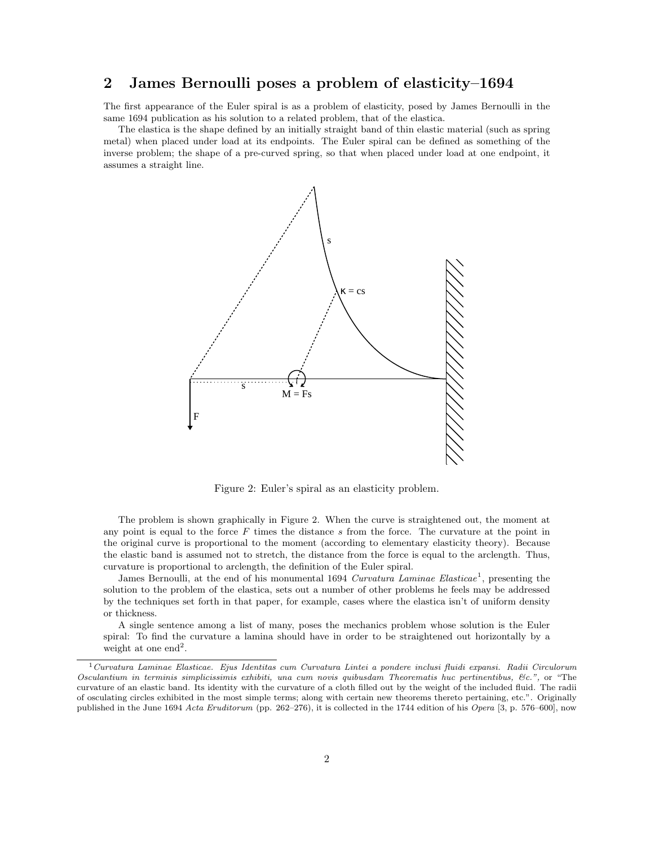# 2 James Bernoulli poses a problem of elasticity–1694

The first appearance of the Euler spiral is as a problem of elasticity, posed by James Bernoulli in the same 1694 publication as his solution to a related problem, that of the elastica.

The elastica is the shape defined by an initially straight band of thin elastic material (such as spring metal) when placed under load at its endpoints. The Euler spiral can be defined as something of the inverse problem; the shape of a pre-curved spring, so that when placed under load at one endpoint, it assumes a straight line.



Figure 2: Euler's spiral as an elasticity problem.

The problem is shown graphically in Figure 2. When the curve is straightened out, the moment at any point is equal to the force  $F$  times the distance  $s$  from the force. The curvature at the point in the original curve is proportional to the moment (according to elementary elasticity theory). Because the elastic band is assumed not to stretch, the distance from the force is equal to the arclength. Thus, curvature is proportional to arclength, the definition of the Euler spiral.

James Bernoulli, at the end of his monumental 1694 Curvatura Laminae Elasticae<sup>1</sup>, presenting the solution to the problem of the elastica, sets out a number of other problems he feels may be addressed by the techniques set forth in that paper, for example, cases where the elastica isn't of uniform density or thickness.

A single sentence among a list of many, poses the mechanics problem whose solution is the Euler spiral: To find the curvature a lamina should have in order to be straightened out horizontally by a weight at one  $end<sup>2</sup>$ .

<sup>1</sup>Curvatura Laminae Elasticae. Ejus Identitas cum Curvatura Lintei a pondere inclusi fluidi expansi. Radii Circulorum Osculantium in terminis simplicissimis exhibiti, una cum novis quibusdam Theorematis huc pertinentibus, &c.", or "The curvature of an elastic band. Its identity with the curvature of a cloth filled out by the weight of the included fluid. The radii of osculating circles exhibited in the most simple terms; along with certain new theorems thereto pertaining, etc.". Originally published in the June 1694 Acta Eruditorum (pp. 262–276), it is collected in the 1744 edition of his Opera [3, p. 576–600], now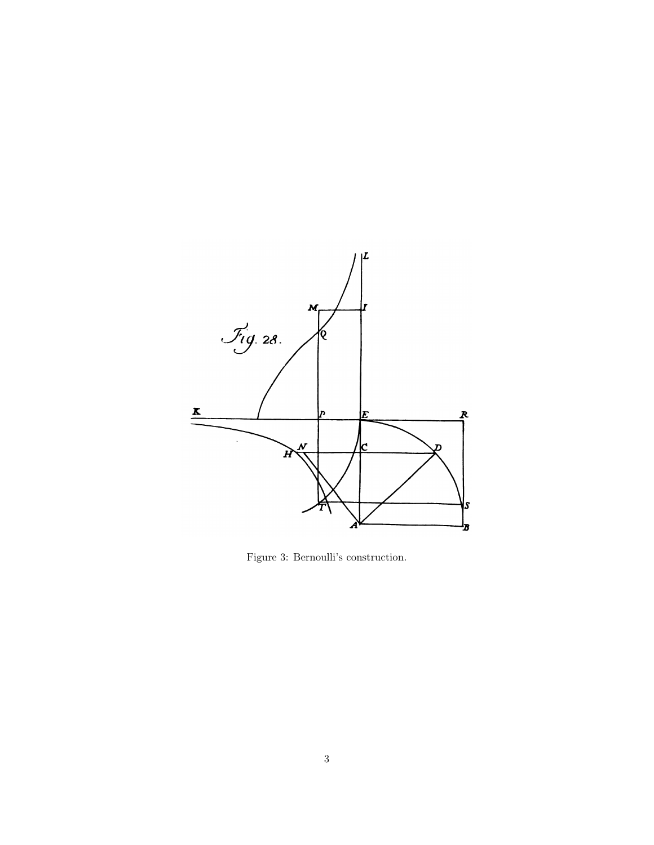

Figure 3: Bernoulli's construction.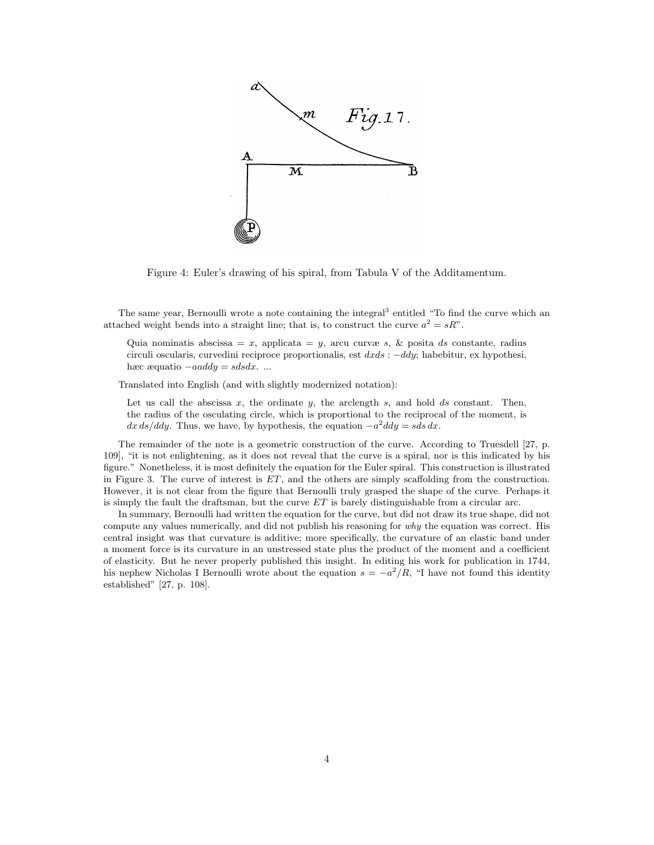

Figure 4: Euler's drawing of his spiral, from Tabula V of the Additamentum.

The same year, Bernoulli wrote a note containing the integral<sup>3</sup> entitled "To find the curve which an attached weight bends into a straight line; that is, to construct the curve  $a^2 = sR$ ".

Quia nominatis abscissa = x, applicata = y, arcu curvæ s, & posita ds constante, radius circuli oscularis, curvedini reciproce proportionalis, est  $dxds$ :  $-ddy$ ; habebitur, ex hypothesi, hæc æquatio  $-aaddy = sdsdx$ . ...

Translated into English (and with slightly modernized notation):

Let us call the abscissa  $x$ , the ordinate  $y$ , the arclength  $s$ , and hold  $ds$  constant. Then, the radius of the osculating circle, which is proportional to the reciprocal of the moment, is  $dx ds/ddy$ . Thus, we have, by hypothesis, the equation  $-a^2 dy = s ds dx$ .

The remainder of the note is a geometric construction of the curve. According to Truesdell [27, p. 109], "it is not enlightening, as it does not reveal that the curve is a spiral, nor is this indicated by his figure." Nonetheless, it is most definitely the equation for the Euler spiral. This construction is illustrated in Figure 3. The curve of interest is  $ET$ , and the others are simply scaffolding from the construction. However, it is not clear from the figure that Bernoulli truly grasped the shape of the curve. Perhaps it is simply the fault the draftsman, but the curve  $ET$  is barely distinguishable from a circular arc.

In summary, Bernoulli had written the equation for the curve, but did not draw its true shape, did not compute any values numerically, and did not publish his reasoning for why the equation was correct. His central insight was that curvature is additive; more specifically, the curvature of an elastic band under a moment force is its curvature in an unstressed state plus the product of the moment and a coefficient of elasticity. But he never properly published this insight. In editing his work for publication in 1744, his nephew Nicholas I Bernoulli wrote about the equation  $s = -a^2/R$ , "I have not found this identity established" [27, p. 108].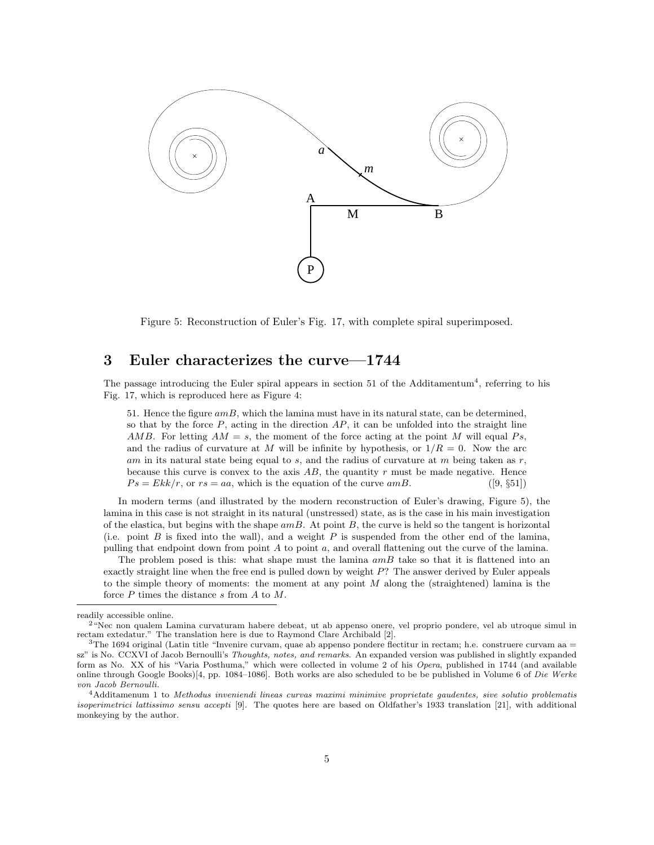

Figure 5: Reconstruction of Euler's Fig. 17, with complete spiral superimposed.

# 3 Euler characterizes the curve—1744

The passage introducing the Euler spiral appears in section  $51$  of the Additamentum<sup>4</sup>, referring to his Fig. 17, which is reproduced here as Figure 4:

51. Hence the figure  $amB$ , which the lamina must have in its natural state, can be determined, so that by the force  $P$ , acting in the direction  $AP$ , it can be unfolded into the straight line AMB. For letting  $AM = s$ , the moment of the force acting at the point M will equal Ps, and the radius of curvature at M will be infinite by hypothesis, or  $1/R = 0$ . Now the arc am in its natural state being equal to  $s$ , and the radius of curvature at m being taken as  $r$ , because this curve is convex to the axis  $AB$ , the quantity r must be made negative. Hence  $Ps = Ekk/r$ , or  $rs = aa$ , which is the equation of the curve amB. ([9, §51])

In modern terms (and illustrated by the modern reconstruction of Euler's drawing, Figure 5), the lamina in this case is not straight in its natural (unstressed) state, as is the case in his main investigation of the elastica, but begins with the shape  $amB$ . At point B, the curve is held so the tangent is horizontal (i.e. point  $B$  is fixed into the wall), and a weight  $P$  is suspended from the other end of the lamina, pulling that endpoint down from point A to point  $a$ , and overall flattening out the curve of the lamina.

The problem posed is this: what shape must the lamina  $amB$  take so that it is flattened into an exactly straight line when the free end is pulled down by weight  $P$ ? The answer derived by Euler appeals to the simple theory of moments: the moment at any point  $M$  along the (straightened) lamina is the force  $P$  times the distance  $s$  from  $A$  to  $M$ .

readily accessible online.

 $2^{4}$ Nec non qualem Lamina curvaturam habere debeat, ut ab appenso onere, vel proprio pondere, vel ab utroque simul in rectam extedatur." The translation here is due to Raymond Clare Archibald [2].

 $3$ The 1694 original (Latin title "Invenire curvam, quae ab appenso pondere flectitur in rectam; h.e. construere curvam aa  $=$ sz" is No. CCXVI of Jacob Bernoulli's Thoughts, notes, and remarks. An expanded version was published in slightly expanded form as No. XX of his "Varia Posthuma," which were collected in volume 2 of his Opera, published in 1744 (and available online through Google Books)[4, pp. 1084–1086]. Both works are also scheduled to be be published in Volume 6 of Die Werke von Jacob Bernoulli.

<sup>4</sup>Additamenum 1 to Methodus inveniendi lineas curvas maximi minimive proprietate gaudentes, sive solutio problematis isoperimetrici lattissimo sensu accepti [9]. The quotes here are based on Oldfather's 1933 translation [21], with additional monkeying by the author.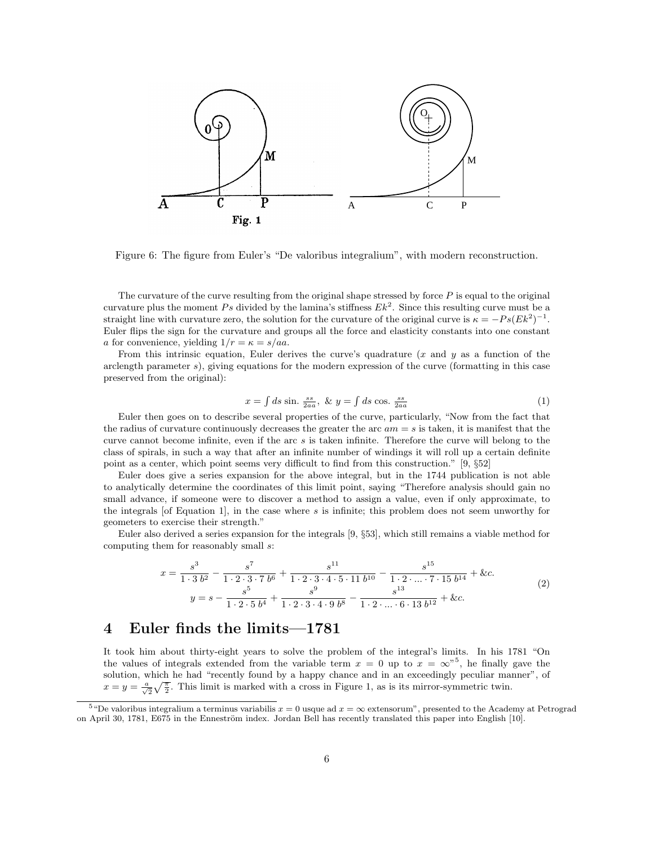

Figure 6: The figure from Euler's "De valoribus integralium", with modern reconstruction.

The curvature of the curve resulting from the original shape stressed by force  $P$  is equal to the original curvature plus the moment Ps divided by the lamina's stiffness  $Ek^2$ . Since this resulting curve must be a<br>straight line with quanture gene, the solution for the quanture of the griginal quantity  $r = Re(Ek^2)^{-1}$ Euler flips the sign for the curvature and groups all the force and elasticity constants into one constant straight line with curvature zero, the solution for the curvature of the original curve is  $\kappa = -P_s(Ek^2)^{-1}$ . a for convenience, yielding  $1/r = \kappa = s/aa$ .

arclength parameter  $s$ ), giving equations for the modern expression of the curve (formatting in this case<br>preserved from the original): From this intrinsic equation, Euler derives the curve's quadrature  $(x \text{ and } y \text{ as a function of the})$ preserved from the original):

$$
x = \int ds \sin \frac{ss}{2aa}, \ \& \ y = \int ds \cos \frac{ss}{2aa} \tag{1}
$$

the radius of curvature continuously decreases the greater the arc  $am = s$  is taken, it is manifest that the gunus cannot become infinite, and it is the greater the gunus will belong to the class of spirals, in such a way that after an infinite number of windings it will roll up a certain definite class of spirals, in such a way that after an infinite number of windings it will roll up a certain definite Euler then goes on to describe several properties of the curve, particularly, "Now from the fact that curve cannot become infinite, even if the arc  $s$  is taken infinite. Therefore the curve will belong to the point as a center, which point seems very difficult to find from this construction." [9, §52]

 $\frac{1}{2}$  Euler does give a series expansion for the above integral, but in the 1744 publication is not able small advance, if someone were to discover a method to assign a value, even if only approximate, to<br>the integrals [of Equation 1], in the case where s is infinite; this problem does not seem unworthy for to analytically determine the coordinates of this limit point, saying "Therefore analysis should gain no small advance, if someone were to discover a method to assign a value, even if only approximate, to geometers to exercise their strength."

meters to exercise their strength.<br>Euler also derived a series expansion for the integrals [9, §53], which still remains a viable method for computing them for reasonably small s:

$$
x = \frac{s^3}{1 \cdot 3 \ b^2} - \frac{s^7}{1 \cdot 2 \cdot 3 \cdot 7 \ b^6} + \frac{s^{11}}{1 \cdot 2 \cdot 3 \cdot 4 \cdot 5 \cdot 11 \ b^{10}} - \frac{s^{15}}{1 \cdot 2 \cdot \dots \cdot 7 \cdot 15 \ b^{14}} + \&c.
$$
  
\n
$$
y = s - \frac{s^5}{1 \cdot 2 \cdot 5 \ b^4} + \frac{s^9}{1 \cdot 2 \cdot 3 \cdot 4 \cdot 9 \ b^8} - \frac{s^{13}}{1 \cdot 2 \cdot \dots \cdot 6 \cdot 13 \ b^{12}} + \&c.
$$
\n(2)

# 4 Euler finds the limits—1781

It took him about thirty-eight years to solve the problem of the integral's limits. In his 1781 "On the values of integrals extended from the variable term  $x = 0$  up to  $x = \infty$ "<sup>5</sup>, he finally gave the solution which he had "recently found by a hanny chance and in an exceedingly peculiar manner" of  $x = y = \frac{a}{\sqrt{2}}\sqrt{\frac{\pi}{2}}$ . This limit is marked with a cross in Figure 1, as is its mirror-symmetric twin. solution, which he had "recently found by a happy chance and in an exceedingly peculiar manner", of

<sup>&</sup>lt;sup>5 "</sup>De valoribus integralium a terminus variabilis  $x = 0$  usque ad  $x = \infty$  extensorum", presented to the Academy at Petrograd on April 30, 1781, E675 in the Enneström index. Jordan Bell has recently translated this paper into English [10].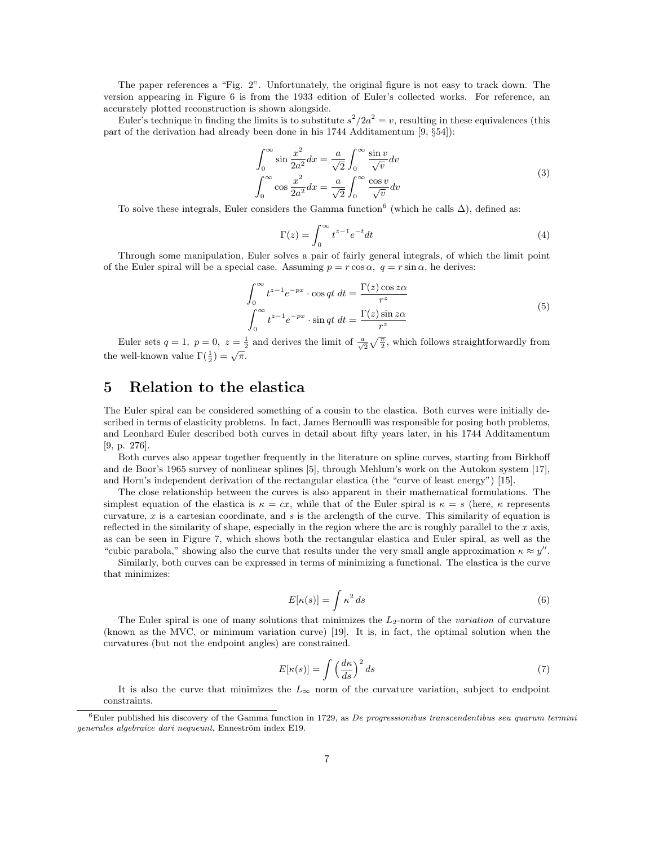The paper references a "Fig. 2". Unfortunately, the original figure is not easy to track down. The version appearing in Figure 6 is from the 1933 edition of Euler's collected works. For reference, an accurately plotted reconstruction is shown alongside.

Euler's technique in finding the limits is to substitute  $s^2/2a^2 = v$ , resulting in these equivalences (this part of the derivation had already been done in his 1744 Additamentum [9, §54]):

$$
\int_0^\infty \sin \frac{x^2}{2a^2} dx = \frac{a}{\sqrt{2}} \int_0^\infty \frac{\sin v}{\sqrt{v}} dv
$$
  

$$
\int_0^\infty \cos \frac{x^2}{2a^2} dx = \frac{a}{\sqrt{2}} \int_0^\infty \frac{\cos v}{\sqrt{v}} dv
$$
 (3)

To solve these integrals, Euler considers the Gamma function<sup>6</sup> (which he calls  $\Delta$ ), defined as:

$$
\Gamma(z) = \int_0^\infty t^{z-1} e^{-t} dt
$$
\n(4)

Through some manipulation, Euler solves a pair of fairly general integrals, of which the limit point of the Euler spiral will be a special case. Assuming  $p = r \cos \alpha$ ,  $q = r \sin \alpha$ , he derives:

$$
\int_0^\infty t^{z-1} e^{-px} \cdot \cos qt \, dt = \frac{\Gamma(z) \cos z\alpha}{r^z}
$$
\n
$$
\int_0^\infty t^{z-1} e^{-px} \cdot \sin qt \, dt = \frac{\Gamma(z) \sin z\alpha}{r^z}
$$
\n(5)

Euler sets  $q=1, p=0, z=\frac{1}{2}$  and derives the limit of  $\frac{a}{\sqrt{2}}\sqrt{\frac{\pi}{2}}$ , which follows straightforwardly from the well-known value  $\Gamma(\frac{1}{2}) = \sqrt{\pi}$ .

# 5 Relation to the elastica

The Euler spiral can be considered something of a cousin to the elastica. Both curves were initially described in terms of elasticity problems. In fact, James Bernoulli was responsible for posing both problems, and Leonhard Euler described both curves in detail about fifty years later, in his 1744 Additamentum [9, p. 276].

Both curves also appear together frequently in the literature on spline curves, starting from Birkhoff and de Boor's 1965 survey of nonlinear splines [5], through Mehlum's work on the Autokon system [17], and Horn's independent derivation of the rectangular elastica (the "curve of least energy") [15].

The close relationship between the curves is also apparent in their mathematical formulations. The simplest equation of the elastica is  $\kappa = cx$ , while that of the Euler spiral is  $\kappa = s$  (here,  $\kappa$  represents curvature,  $x$  is a cartesian coordinate, and  $s$  is the arclength of the curve. This similarity of equation is reflected in the similarity of shape, especially in the region where the arc is roughly parallel to the  $x$  axis, as can be seen in Figure 7, which shows both the rectangular elastica and Euler spiral, as well as the "cubic parabola," showing also the curve that results under the very small angle approximation  $\kappa \approx y''$ .

Similarly, both curves can be expressed in terms of minimizing a functional. The elastica is the curve that minimizes:

$$
E[\kappa(s)] = \int \kappa^2 ds \tag{6}
$$

The Euler spiral is one of many solutions that minimizes the  $L_2$ -norm of the variation of curvature (known as the MVC, or minimum variation curve) [19]. It is, in fact, the optimal solution when the curvatures (but not the endpoint angles) are constrained.

$$
E[\kappa(s)] = \int \left(\frac{d\kappa}{ds}\right)^2 ds \tag{7}
$$

It is also the curve that minimizes the  $L_{\infty}$  norm of the curvature variation, subject to endpoint constraints.

 $6$ Euler published his discovery of the Gamma function in 1729, as *De progressionibus transcendentibus seu quarum termini* generales algebraice dari nequeunt, Enneström index E19.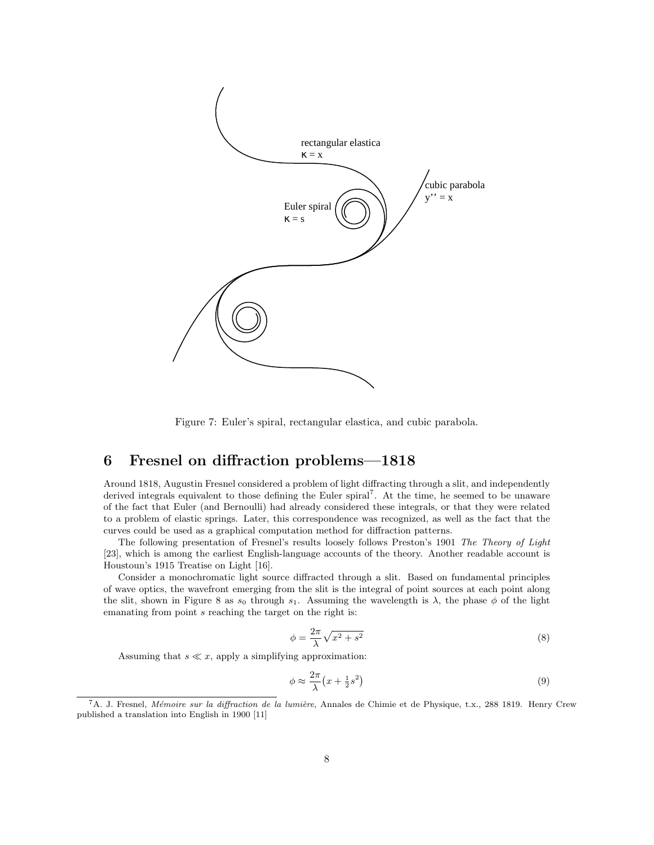

Figure 7: Euler's spiral, rectangular elastica, and cubic parabola.

# 6 Fresnel on diffraction problems—1818

Around 1818, Augustin Fresnel considered a problem of light diffracting through a slit, and independently derived integrals equivalent to those defining the Euler spiral<sup>7</sup> . At the time, he seemed to be unaware of the fact that Euler (and Bernoulli) had already considered these integrals, or that they were related to a problem of elastic springs. Later, this correspondence was recognized, as well as the fact that the curves could be used as a graphical computation method for diffraction patterns.

The following presentation of Fresnel's results loosely follows Preston's 1901 The Theory of Light [23], which is among the earliest English-language accounts of the theory. Another readable account is Houstoun's 1915 Treatise on Light [16].

Consider a monochromatic light source diffracted through a slit. Based on fundamental principles of wave optics, the wavefront emerging from the slit is the integral of point sources at each point along the slit, shown in Figure 8 as  $s_0$  through  $s_1$ . Assuming the wavelength is  $\lambda$ , the phase  $\phi$  of the light emanating from point s reaching the target on the right is:

$$
\phi = \frac{2\pi}{\lambda} \sqrt{x^2 + s^2} \tag{8}
$$

Assuming that  $s \ll x$ , apply a simplifying approximation:

$$
\phi \approx \frac{2\pi}{\lambda} \left( x + \frac{1}{2} s^2 \right) \tag{9}
$$

<sup>&</sup>lt;sup>7</sup>A. J. Fresnel, *Mémoire sur la diffraction de la lumière*, Annales de Chimie et de Physique, t.x., 288 1819. Henry Crew published a translation into English in 1900 [11]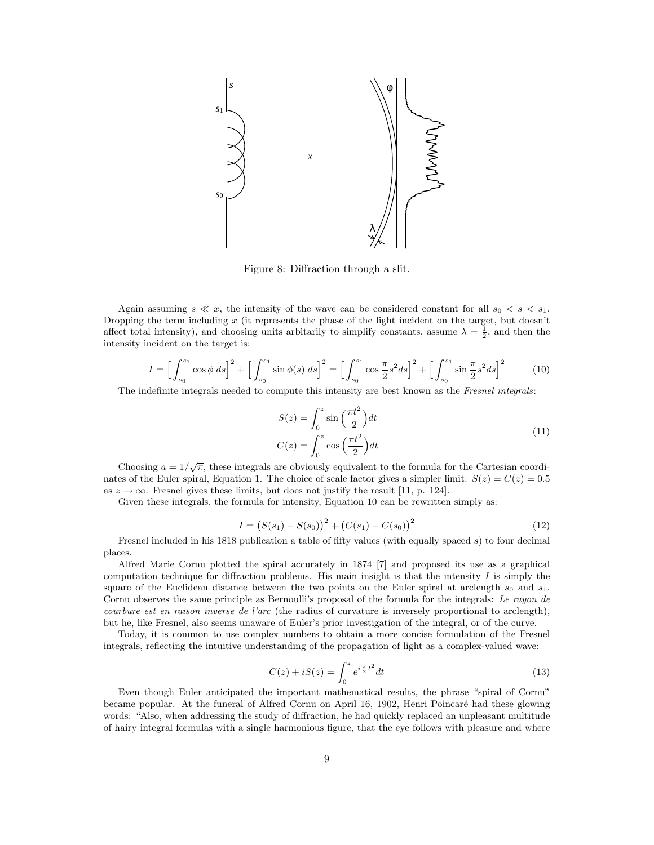

Figure 8: Diffraction through a slit.

Again assuming  $s \ll x$ , the intensity of the wave can be considered constant for all  $s_0 < s < s_1$ . Dropping the term including x (it represents the phase of the light incident on the target, but doesn't affect total intensity), and choosing units arbitarily to simplify constants, assume  $\lambda = \frac{1}{2}$ , and then the intensity incident on the target is:

$$
I = \Big[\int_{s_0}^{s_1} \cos \phi \, ds\Big]^2 + \Big[\int_{s_0}^{s_1} \sin \phi(s) \, ds\Big]^2 = \Big[\int_{s_0}^{s_1} \cos \frac{\pi}{2} s^2 ds\Big]^2 + \Big[\int_{s_0}^{s_1} \sin \frac{\pi}{2} s^2 ds\Big]^2\tag{10}
$$

The indefinite integrals needed to compute this intensity are best known as the Fresnel integrals:

$$
S(z) = \int_0^z \sin\left(\frac{\pi t^2}{2}\right) dt
$$
  
\n
$$
C(z) = \int_0^z \cos\left(\frac{\pi t^2}{2}\right) dt
$$
\n(11)

Choosing  $a = 1/\sqrt{\pi}$ , these integrals are obviously equivalent to the formula for the Cartesian coordinates of the Euler spiral, Equation 1. The choice of scale factor gives a simpler limit:  $S(z) = C(z) = 0.5$ as  $z \to \infty$ . Fresnel gives these limits, but does not justify the result [11, p. 124].

Given these integrals, the formula for intensity, Equation 10 can be rewritten simply as:

$$
I = (S(s1) - S(s0))^{2} + (C(s1) - C(s0))^{2}
$$
\n(12)

Fresnel included in his 1818 publication a table of fifty values (with equally spaced s) to four decimal places.

Alfred Marie Cornu plotted the spiral accurately in 1874 [7] and proposed its use as a graphical computation technique for diffraction problems. His main insight is that the intensity  $I$  is simply the square of the Euclidean distance between the two points on the Euler spiral at arclength  $s_0$  and  $s_1$ . Cornu observes the same principle as Bernoulli's proposal of the formula for the integrals: Le rayon de courbure est en raison inverse de l'arc (the radius of curvature is inversely proportional to arclength), but he, like Fresnel, also seems unaware of Euler's prior investigation of the integral, or of the curve.

Today, it is common to use complex numbers to obtain a more concise formulation of the Fresnel integrals, reflecting the intuitive understanding of the propagation of light as a complex-valued wave:

$$
C(z) + iS(z) = \int_0^z e^{i\frac{\pi}{2}t^2} dt
$$
\n(13)

Even though Euler anticipated the important mathematical results, the phrase "spiral of Cornu" became popular. At the funeral of Alfred Cornu on April 16, 1902, Henri Poincaré had these glowing words: "Also, when addressing the study of diffraction, he had quickly replaced an unpleasant multitude of hairy integral formulas with a single harmonious figure, that the eye follows with pleasure and where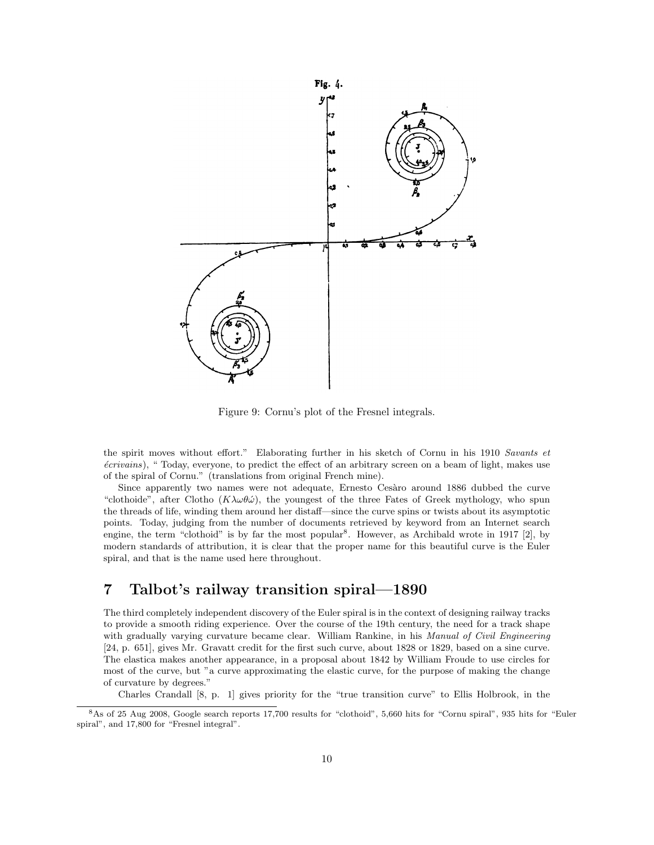

Figure 9: Cornu's plot of the Fresnel integrals.

the spirit moves without effort." Elaborating further in his sketch of Cornu in his 1910 Savants et  $écrivains$ ), " Today, everyone, to predict the effect of an arbitrary screen on a beam of light, makes use of the spiral of Cornu." (translations from original French mine).

Since apparently two names were not adequate, Ernesto Cesàro around 1886 dubbed the curve "clothoide", after Clotho  $(K\lambda\omega\theta\omega)$ , the youngest of the three Fates of Greek mythology, who spun the threads of life, winding them around her distaff—since the curve spins or twists about its asymptotic points. Today, judging from the number of documents retrieved by keyword from an Internet search engine, the term "clothoid" is by far the most popular<sup>8</sup>. However, as Archibald wrote in 1917 [2], by modern standards of attribution, it is clear that the proper name for this beautiful curve is the Euler spiral, and that is the name used here throughout.

# 7 Talbot's railway transition spiral—1890

The third completely independent discovery of the Euler spiral is in the context of designing railway tracks to provide a smooth riding experience. Over the course of the 19th century, the need for a track shape with gradually varying curvature became clear. William Rankine, in his Manual of Civil Engineering [24, p. 651], gives Mr. Gravatt credit for the first such curve, about 1828 or 1829, based on a sine curve. The elastica makes another appearance, in a proposal about 1842 by William Froude to use circles for most of the curve, but "a curve approximating the elastic curve, for the purpose of making the change of curvature by degrees."

Charles Crandall [8, p. 1] gives priority for the "true transition curve" to Ellis Holbrook, in the

<sup>8</sup>As of 25 Aug 2008, Google search reports 17,700 results for "clothoid", 5,660 hits for "Cornu spiral", 935 hits for "Euler spiral", and 17,800 for "Fresnel integral".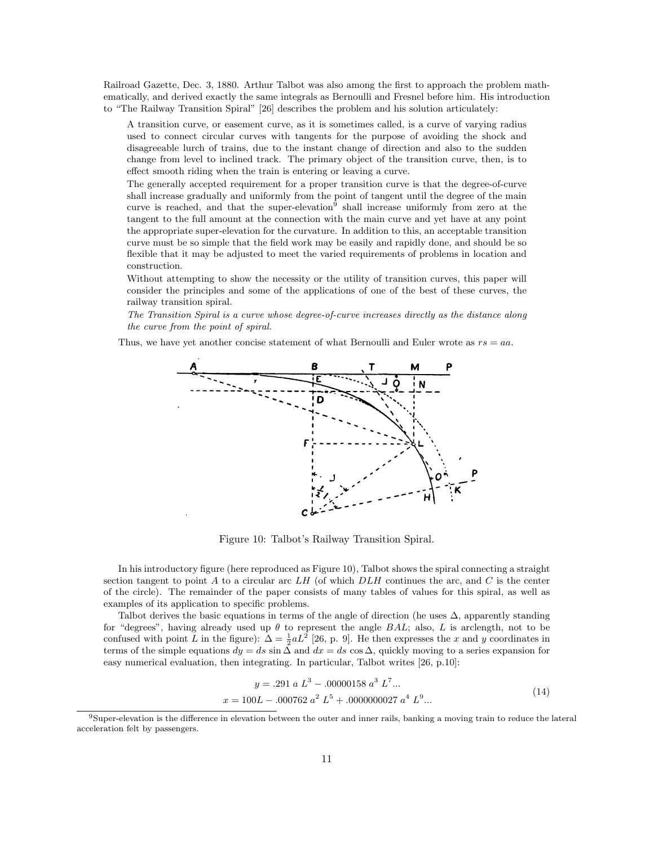Railroad Gazette, Dec. 3, 1880. Arthur Talbot was also among the first to approach the problem mathematically, and derived exactly the same integrals as Bernoulli and Fresnel before him. His introduction to "The Railway Transition Spiral" [26] describes the problem and his solution articulately:

A transition curve, or easement curve, as it is sometimes called, is a curve of varying radius used to connect circular curves with tangents for the purpose of avoiding the shock and disagreeable lurch of trains, due to the instant change of direction and also to the sudden change from level to inclined track. The primary object of the transition curve, then, is to effect smooth riding when the train is entering or leaving a curve.

The generally accepted requirement for a proper transition curve is that the degree-of-curve shall increase gradually and uniformly from the point of tangent until the degree of the main curve is reached, and that the super-elevation<sup>9</sup> shall increase uniformly from zero at the tangent to the full amount at the connection with the main curve and yet have at any point the appropriate super-elevation for the curvature. In addition to this, an acceptable transition curve must be so simple that the field work may be easily and rapidly done, and should be so flexible that it may be adjusted to meet the varied requirements of problems in location and construction.

Without attempting to show the necessity or the utility of transition curves, this paper will consider the principles and some of the applications of one of the best of these curves, the railway transition spiral.

The Transition Spiral is a curve whose degree-of-curve increases directly as the distance along the curve from the point of spiral.

Thus, we have yet another concise statement of what Bernoulli and Euler wrote as  $rs = aa$ .



Figure 10: Talbot's Railway Transition Spiral.

In his introductory figure (here reproduced as Figure 10), Talbot shows the spiral connecting a straight section tangent to point A to a circular arc  $LH$  (of which  $D LH$  continues the arc, and C is the center of the circle). The remainder of the paper consists of many tables of values for this spiral, as well as examples of its application to specific problems.

Talbot derives the basic equations in terms of the angle of direction (he uses  $\Delta$ , apparently standing for "degrees", having already used up  $\theta$  to represent the angle BAL; also, L is arclength, not to be confused with point L in the figure):  $\Delta = \frac{1}{2} a L^2$  [26, p. 9]. He then expresses the x and y coordinates in terms of the simple equations  $dy = ds \sin \Delta$  and  $dx = ds \cos \Delta$ , quickly moving to a series expansion for easy numerical evaluation, then integrating. In particular, Talbot writes [26, p.10]:

$$
y = .291 \, a \, L^3 - .00000158 \, a^3 \, L^7 \dots
$$

$$
x = 100L - .000762 \, a^2 \, L^5 + .0000000027 \, a^4 \, L^9 \dots \tag{14}
$$

<sup>&</sup>lt;sup>9</sup>Super-elevation is the difference in elevation between the outer and inner rails, banking a moving train to reduce the lateral acceleration felt by passengers.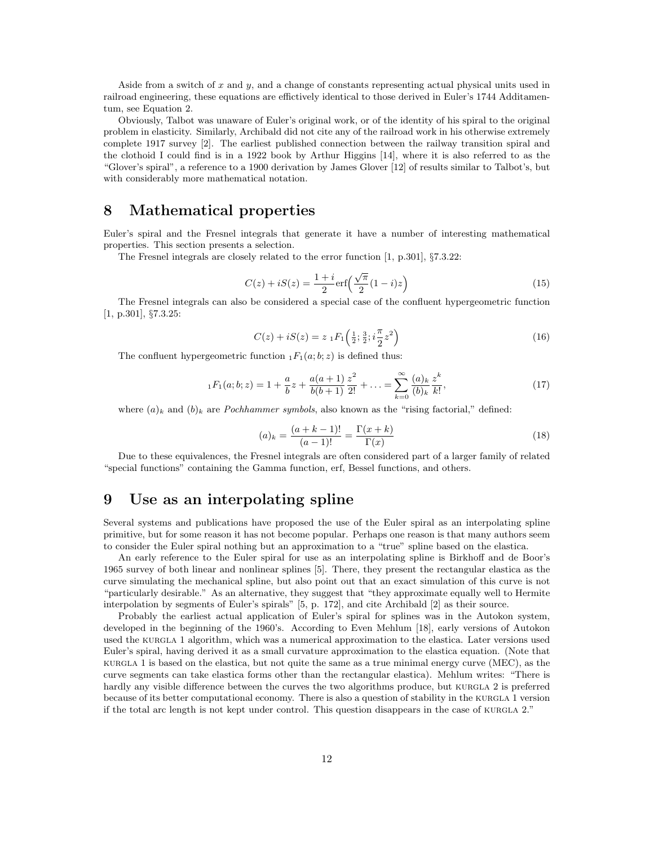Aside from a switch of x and  $y$ , and a change of constants representing actual physical units used in railroad engineering, these equations are effictively identical to those derived in Euler's 1744 Additamentum, see Equation 2.

Obviously, Talbot was unaware of Euler's original work, or of the identity of his spiral to the original problem in elasticity. Similarly, Archibald did not cite any of the railroad work in his otherwise extremely complete 1917 survey [2]. The earliest published connection between the railway transition spiral and the clothoid I could find is in a 1922 book by Arthur Higgins [14], where it is also referred to as the "Glover's spiral", a reference to a 1900 derivation by James Glover [12] of results similar to Talbot's, but with considerably more mathematical notation.

# 8 Mathematical properties

Euler's spiral and the Fresnel integrals that generate it have a number of interesting mathematical properties. This section presents a selection.

The Fresnel integrals are closely related to the error function [1, p.301], §7.3.22:

$$
C(z) + iS(z) = \frac{1+i}{2} \text{erf}\left(\frac{\sqrt{\pi}}{2}(1-i)z\right)
$$
 (15)

The Fresnel integrals can also be considered a special case of the confluent hypergeometric function [1, p.301], §7.3.25:

$$
C(z) + iS(z) = z \, {}_1F_1\left(\frac{1}{2}; \frac{3}{2}; i\frac{\pi}{2}z^2\right) \tag{16}
$$

The confluent hypergeometric function  $_1F_1(a;b;z)$  is defined thus:

$$
{}_1F_1(a;b;z) = 1 + \frac{a}{b}z + \frac{a(a+1)}{b(b+1)}\frac{z^2}{2!} + \ldots = \sum_{k=0}^{\infty} \frac{(a)_k}{(b)_k} \frac{z^k}{k!},\tag{17}
$$

where  $(a)_k$  and  $(b)_k$  are *Pochhammer symbols*, also known as the "rising factorial," defined:

$$
(a)_k = \frac{(a+k-1)!}{(a-1)!} = \frac{\Gamma(x+k)}{\Gamma(x)}
$$
\n(18)

Due to these equivalences, the Fresnel integrals are often considered part of a larger family of related "special functions" containing the Gamma function, erf, Bessel functions, and others.

# 9 Use as an interpolating spline

Several systems and publications have proposed the use of the Euler spiral as an interpolating spline primitive, but for some reason it has not become popular. Perhaps one reason is that many authors seem to consider the Euler spiral nothing but an approximation to a "true" spline based on the elastica.

An early reference to the Euler spiral for use as an interpolating spline is Birkhoff and de Boor's 1965 survey of both linear and nonlinear splines [5]. There, they present the rectangular elastica as the curve simulating the mechanical spline, but also point out that an exact simulation of this curve is not "particularly desirable." As an alternative, they suggest that "they approximate equally well to Hermite interpolation by segments of Euler's spirals" [5, p. 172], and cite Archibald [2] as their source.

Probably the earliest actual application of Euler's spiral for splines was in the Autokon system, developed in the beginning of the 1960's. According to Even Mehlum [18], early versions of Autokon used the kurgla 1 algorithm, which was a numerical approximation to the elastica. Later versions used Euler's spiral, having derived it as a small curvature approximation to the elastica equation. (Note that kurgla 1 is based on the elastica, but not quite the same as a true minimal energy curve (MEC), as the curve segments can take elastica forms other than the rectangular elastica). Mehlum writes: "There is hardly any visible difference between the curves the two algorithms produce, but KURGLA 2 is preferred because of its better computational economy. There is also a question of stability in the KURGLA 1 version if the total arc length is not kept under control. This question disappears in the case of KURGLA 2."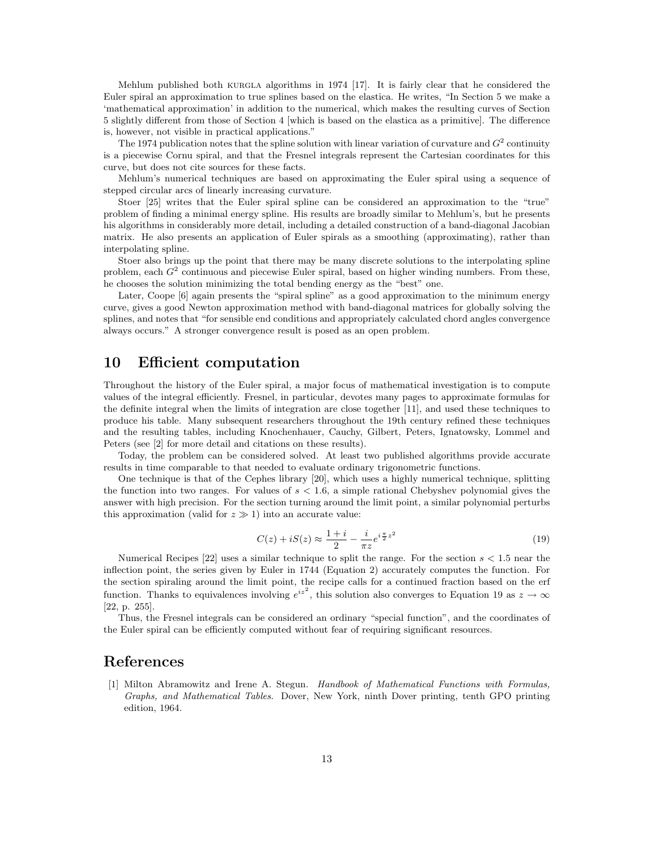Mehlum published both kurgla algorithms in 1974 [17]. It is fairly clear that he considered the Euler spiral an approximation to true splines based on the elastica. He writes, "In Section 5 we make a 'mathematical approximation' in addition to the numerical, which makes the resulting curves of Section 5 slightly different from those of Section 4 [which is based on the elastica as a primitive]. The difference is, however, not visible in practical applications."

The 1974 publication notes that the spline solution with linear variation of curvature and  $G^2$  continuity is a piecewise Cornu spiral, and that the Fresnel integrals represent the Cartesian coordinates for this curve, but does not cite sources for these facts.

Mehlum's numerical techniques are based on approximating the Euler spiral using a sequence of stepped circular arcs of linearly increasing curvature.

Stoer [25] writes that the Euler spiral spline can be considered an approximation to the "true" problem of finding a minimal energy spline. His results are broadly similar to Mehlum's, but he presents his algorithms in considerably more detail, including a detailed construction of a band-diagonal Jacobian matrix. He also presents an application of Euler spirals as a smoothing (approximating), rather than interpolating spline.

Stoer also brings up the point that there may be many discrete solutions to the interpolating spline problem, each  $G^2$  continuous and piecewise Euler spiral, based on higher winding numbers. From these, he chooses the solution minimizing the total bending energy as the "best" one.

Later, Coope [6] again presents the "spiral spline" as a good approximation to the minimum energy curve, gives a good Newton approximation method with band-diagonal matrices for globally solving the splines, and notes that "for sensible end conditions and appropriately calculated chord angles convergence always occurs." A stronger convergence result is posed as an open problem.

#### 10 Efficient computation

Throughout the history of the Euler spiral, a major focus of mathematical investigation is to compute values of the integral efficiently. Fresnel, in particular, devotes many pages to approximate formulas for the definite integral when the limits of integration are close together [11], and used these techniques to produce his table. Many subsequent researchers throughout the 19th century refined these techniques and the resulting tables, including Knochenhauer, Cauchy, Gilbert, Peters, Ignatowsky, Lommel and Peters (see [2] for more detail and citations on these results).

Today, the problem can be considered solved. At least two published algorithms provide accurate results in time comparable to that needed to evaluate ordinary trigonometric functions.

One technique is that of the Cephes library [20], which uses a highly numerical technique, splitting the function into two ranges. For values of  $s < 1.6$ , a simple rational Chebyshev polynomial gives the answer with high precision. For the section turning around the limit point, a similar polynomial perturbs this approximation (valid for  $z \gg 1$ ) into an accurate value:

$$
C(z) + iS(z) \approx \frac{1+i}{2} - \frac{i}{\pi z} e^{i\frac{\pi}{2}z^2}
$$
 (19)

Numerical Recipes  $[22]$  uses a similar technique to split the range. For the section  $s < 1.5$  near the inflection point, the series given by Euler in 1744 (Equation 2) accurately computes the function. For the section spiraling around the limit point, the recipe calls for a continued fraction based on the erf function. Thanks to equivalences involving  $e^{iz^2}$ , this solution also converges to Equation 19 as  $z \to \infty$ [22, p. 255].

Thus, the Fresnel integrals can be considered an ordinary "special function", and the coordinates of the Euler spiral can be efficiently computed without fear of requiring significant resources.

#### References

[1] Milton Abramowitz and Irene A. Stegun. Handbook of Mathematical Functions with Formulas, Graphs, and Mathematical Tables. Dover, New York, ninth Dover printing, tenth GPO printing edition, 1964.